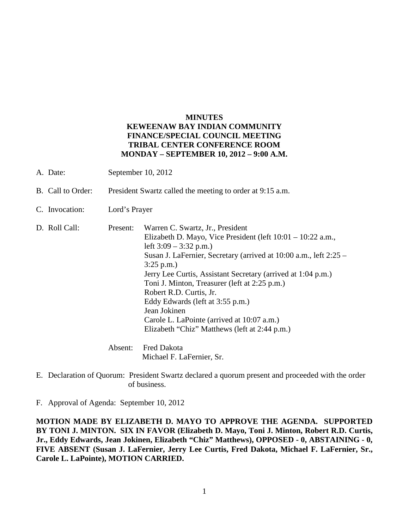#### **MINUTES KEWEENAW BAY INDIAN COMMUNITY FINANCE/SPECIAL COUNCIL MEETING TRIBAL CENTER CONFERENCE ROOM MONDAY – SEPTEMBER 10, 2012 – 9:00 A.M.**

- A. Date: September 10, 2012
- B. Call to Order: President Swartz called the meeting to order at 9:15 a.m.
- C. Invocation: Lord's Prayer
- D. Roll Call: Present: Warren C. Swartz, Jr., President Elizabeth D. Mayo, Vice President (left 10:01 – 10:22 a.m., left  $3:09 - 3:32$  p.m.) Susan J. LaFernier, Secretary (arrived at 10:00 a.m., left 2:25 – 3:25 p.m.) Jerry Lee Curtis, Assistant Secretary (arrived at 1:04 p.m.) Toni J. Minton, Treasurer (left at 2:25 p.m.) Robert R.D. Curtis, Jr. Eddy Edwards (left at 3:55 p.m.) Jean Jokinen Carole L. LaPointe (arrived at 10:07 a.m.) Elizabeth "Chiz" Matthews (left at 2:44 p.m.)

 Absent: Fred Dakota Michael F. LaFernier, Sr.

E. Declaration of Quorum: President Swartz declared a quorum present and proceeded with the order of business.

F. Approval of Agenda: September 10, 2012

**MOTION MADE BY ELIZABETH D. MAYO TO APPROVE THE AGENDA. SUPPORTED BY TONI J. MINTON. SIX IN FAVOR (Elizabeth D. Mayo, Toni J. Minton, Robert R.D. Curtis, Jr., Eddy Edwards, Jean Jokinen, Elizabeth "Chiz" Matthews), OPPOSED - 0, ABSTAINING - 0, FIVE ABSENT (Susan J. LaFernier, Jerry Lee Curtis, Fred Dakota, Michael F. LaFernier, Sr., Carole L. LaPointe), MOTION CARRIED.**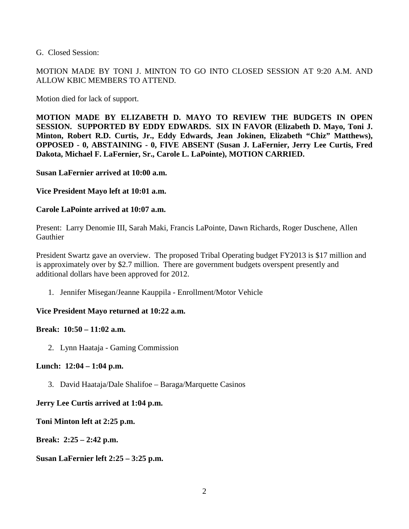G. Closed Session:

MOTION MADE BY TONI J. MINTON TO GO INTO CLOSED SESSION AT 9:20 A.M. AND ALLOW KBIC MEMBERS TO ATTEND.

Motion died for lack of support.

**MOTION MADE BY ELIZABETH D. MAYO TO REVIEW THE BUDGETS IN OPEN SESSION. SUPPORTED BY EDDY EDWARDS. SIX IN FAVOR (Elizabeth D. Mayo, Toni J. Minton, Robert R.D. Curtis, Jr., Eddy Edwards, Jean Jokinen, Elizabeth "Chiz" Matthews), OPPOSED - 0, ABSTAINING - 0, FIVE ABSENT (Susan J. LaFernier, Jerry Lee Curtis, Fred Dakota, Michael F. LaFernier, Sr., Carole L. LaPointe), MOTION CARRIED.**

**Susan LaFernier arrived at 10:00 a.m.** 

**Vice President Mayo left at 10:01 a.m.** 

#### **Carole LaPointe arrived at 10:07 a.m.**

Present: Larry Denomie III, Sarah Maki, Francis LaPointe, Dawn Richards, Roger Duschene, Allen **Gauthier** 

President Swartz gave an overview. The proposed Tribal Operating budget FY2013 is \$17 million and is approximately over by \$2.7 million. There are government budgets overspent presently and additional dollars have been approved for 2012.

1. Jennifer Misegan/Jeanne Kauppila - Enrollment/Motor Vehicle

# **Vice President Mayo returned at 10:22 a.m.**

#### **Break: 10:50 – 11:02 a.m.**

2. Lynn Haataja - Gaming Commission

# **Lunch: 12:04 – 1:04 p.m.**

3. David Haataja/Dale Shalifoe – Baraga/Marquette Casinos

# **Jerry Lee Curtis arrived at 1:04 p.m.**

**Toni Minton left at 2:25 p.m.** 

**Break: 2:25 – 2:42 p.m.** 

**Susan LaFernier left 2:25 – 3:25 p.m.**